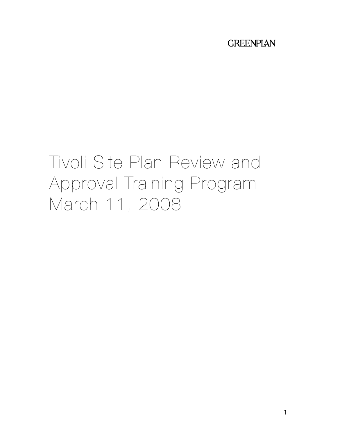# **GREENPLAN**

# Tivoli Site Plan Review and Approval Training Program March 11, 2008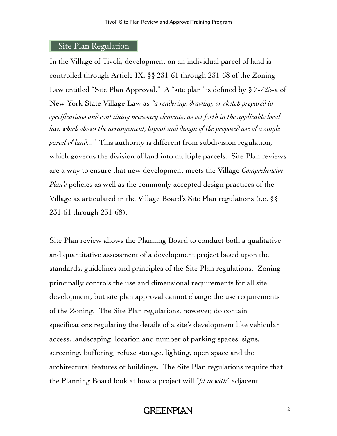#### Site Plan Regulation

In the Village of Tivoli, development on an individual parcel of land is controlled through Article IX, §§ 231-61 through 231-68 of the Zoning Law entitled "Site Plan Approval." A "site plan" is defined by § 7-725-a of New York State Village Law as *"a rendering, drawing, or sketch prepared to specifications and containing necessary elements, as set forth in the applicable local law, which shows the arrangement, layout and design of the proposed use of a single parcel of land..."* This authority is different from subdivision regulation, which governs the division of land into multiple parcels. Site Plan reviews are a way to ensure that new development meets the Village *Comprehensive Plan's* policies as well as the commonly accepted design practices of the Village as articulated in the Village Board's Site Plan regulations (i.e. §§ 231-61 through 231-68).

Site Plan review allows the Planning Board to conduct both a qualitative and quantitative assessment of a development project based upon the standards, guidelines and principles of the Site Plan regulations. Zoning principally controls the use and dimensional requirements for all site development, but site plan approval cannot change the use requirements of the Zoning. The Site Plan regulations, however, do contain specifications regulating the details of a site's development like vehicular access, landscaping, location and number of parking spaces, signs, screening, buffering, refuse storage, lighting, open space and the architectural features of buildings. The Site Plan regulations require that the Planning Board look at how a project will *"fit in with"* adjacent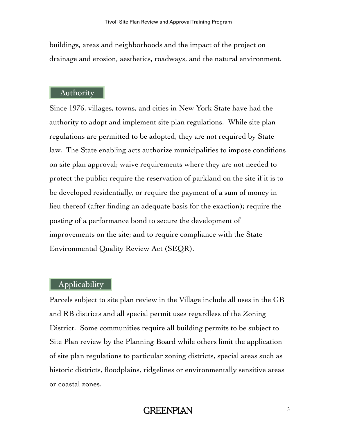buildings, areas and neighborhoods and the impact of the project on drainage and erosion, aesthetics, roadways, and the natural environment.

#### Authority

Since 1976, villages, towns, and cities in New York State have had the authority to adopt and implement site plan regulations. While site plan regulations are permitted to be adopted, they are not required by State law. The State enabling acts authorize municipalities to impose conditions on site plan approval; waive requirements where they are not needed to protect the public; require the reservation of parkland on the site if it is to be developed residentially, or require the payment of a sum of money in lieu thereof (after finding an adequate basis for the exaction); require the posting of a performance bond to secure the development of improvements on the site; and to require compliance with the State Environmental Quality Review Act (SEQR).

# Applicability

Parcels subject to site plan review in the Village include all uses in the GB and RB districts and all special permit uses regardless of the Zoning District. Some communities require all building permits to be subject to Site Plan review by the Planning Board while others limit the application of site plan regulations to particular zoning districts, special areas such as historic districts, floodplains, ridgelines or environmentally sensitive areas or coastal zones.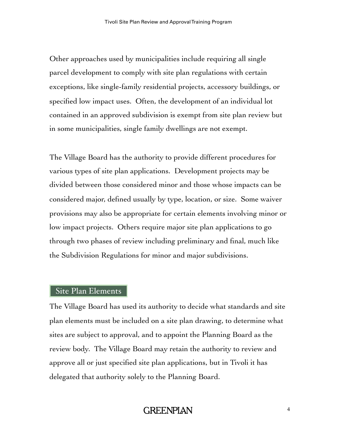Other approaches used by municipalities include requiring all single parcel development to comply with site plan regulations with certain exceptions, like single-family residential projects, accessory buildings, or specified low impact uses. Often, the development of an individual lot contained in an approved subdivision is exempt from site plan review but in some municipalities, single family dwellings are not exempt.

The Village Board has the authority to provide different procedures for various types of site plan applications. Development projects may be divided between those considered minor and those whose impacts can be considered major, defined usually by type, location, or size. Some waiver provisions may also be appropriate for certain elements involving minor or low impact projects. Others require major site plan applications to go through two phases of review including preliminary and final, much like the Subdivision Regulations for minor and major subdivisions.

#### Site Plan Elements

The Village Board has used its authority to decide what standards and site plan elements must be included on a site plan drawing, to determine what sites are subject to approval, and to appoint the Planning Board as the review body. The Village Board may retain the authority to review and approve all or just specified site plan applications, but in Tivoli it has delegated that authority solely to the Planning Board.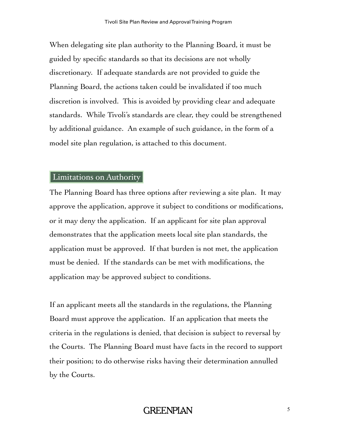When delegating site plan authority to the Planning Board, it must be guided by specific standards so that its decisions are not wholly discretionary. If adequate standards are not provided to guide the Planning Board, the actions taken could be invalidated if too much discretion is involved. This is avoided by providing clear and adequate standards. While Tivoli's standards are clear, they could be strengthened by additional guidance. An example of such guidance, in the form of a model site plan regulation, is attached to this document.

#### Limitations on Authority

The Planning Board has three options after reviewing a site plan. It may approve the application, approve it subject to conditions or modifications, or it may deny the application. If an applicant for site plan approval demonstrates that the application meets local site plan standards, the application must be approved. If that burden is not met, the application must be denied. If the standards can be met with modifications, the application may be approved subject to conditions.

If an applicant meets all the standards in the regulations, the Planning Board must approve the application. If an application that meets the criteria in the regulations is denied, that decision is subject to reversal by the Courts. The Planning Board must have facts in the record to support their position; to do otherwise risks having their determination annulled by the Courts.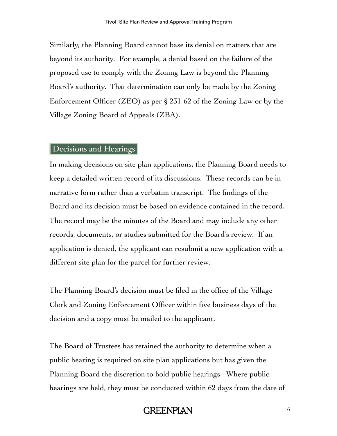Similarly, the Planning Board cannot base its denial on matters that are beyond its authority. For example, a denial based on the failure of the proposed use to comply with the Zoning Law is beyond the Planning Board's authority. That determination can only be made by the Zoning Enforcement Officer (ZEO) as per § 231-62 of the Zoning Law or by the Village Zoning Board of Appeals (ZBA).

#### Decisions and Hearings

In making decisions on site plan applications, the Planning Board needs to keep a detailed written record of its discussions. These records can be in narrative form rather than a verbatim transcript. The findings of the Board and its decision must be based on evidence contained in the record. The record may be the minutes of the Board and may include any other records, documents, or studies submitted for the Board's review. If an application is denied, the applicant can resubmit a new application with a different site plan for the parcel for further review.

The Planning Board's decision must be filed in the office of the Village Clerk and Zoning Enforcement Officer within five business days of the decision and a copy must be mailed to the applicant.

The Board of Trustees has retained the authority to determine when a public hearing is required on site plan applications but has given the Planning Board the discretion to hold public hearings. Where public hearings are held, they must be conducted within 62 days from the date of

# **GREENPLAN**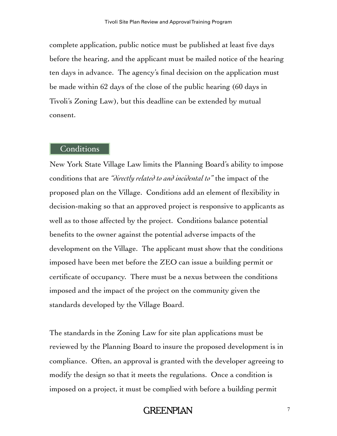complete application, public notice must be published at least five days before the hearing, and the applicant must be mailed notice of the hearing ten days in advance. The agency's final decision on the application must be made within 62 days of the close of the public hearing (60 days in Tivoli's Zoning Law), but this deadline can be extended by mutual consent.

#### **Conditions**

New York State Village Law limits the Planning Board's ability to impose conditions that are *"directly related to and incidental to"* the impact of the proposed plan on the Village. Conditions add an element of flexibility in decision-making so that an approved project is responsive to applicants as well as to those affected by the project. Conditions balance potential benefits to the owner against the potential adverse impacts of the development on the Village. The applicant must show that the conditions imposed have been met before the ZEO can issue a building permit or certificate of occupancy. There must be a nexus between the conditions imposed and the impact of the project on the community given the standards developed by the Village Board.

The standards in the Zoning Law for site plan applications must be reviewed by the Planning Board to insure the proposed development is in compliance. Often, an approval is granted with the developer agreeing to modify the design so that it meets the regulations. Once a condition is imposed on a project, it must be complied with before a building permit

**GREENPLAN**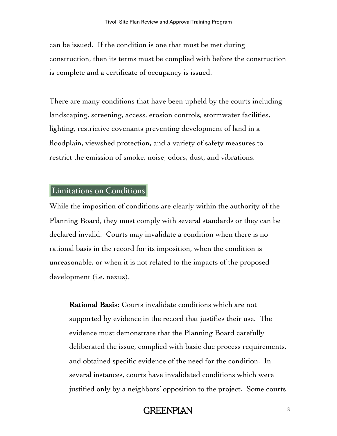can be issued. If the condition is one that must be met during construction, then its terms must be complied with before the construction is complete and a certificate of occupancy is issued.

There are many conditions that have been upheld by the courts including landscaping, screening, access, erosion controls, stormwater facilities, lighting, restrictive covenants preventing development of land in a floodplain, viewshed protection, and a variety of safety measures to restrict the emission of smoke, noise, odors, dust, and vibrations.

# Limitations on Conditions

While the imposition of conditions are clearly within the authority of the Planning Board, they must comply with several standards or they can be declared invalid. Courts may invalidate a condition when there is no rational basis in the record for its imposition, when the condition is unreasonable, or when it is not related to the impacts of the proposed development (i.e. nexus).

**Rational Basis:** Courts invalidate conditions which are not supported by evidence in the record that justifies their use. The evidence must demonstrate that the Planning Board carefully deliberated the issue, complied with basic due process requirements, and obtained specific evidence of the need for the condition. In several instances, courts have invalidated conditions which were justified only by a neighbors' opposition to the project. Some courts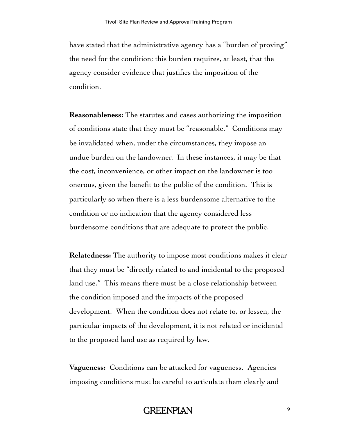have stated that the administrative agency has a "burden of proving" the need for the condition; this burden requires, at least, that the agency consider evidence that justifies the imposition of the condition.

**Reasonableness:** The statutes and cases authorizing the imposition of conditions state that they must be "reasonable." Conditions may be invalidated when, under the circumstances, they impose an undue burden on the landowner. In these instances, it may be that the cost, inconvenience, or other impact on the landowner is too onerous, given the benefit to the public of the condition. This is particularly so when there is a less burdensome alternative to the condition or no indication that the agency considered less burdensome conditions that are adequate to protect the public.

**Relatedness:** The authority to impose most conditions makes it clear that they must be "directly related to and incidental to the proposed land use." This means there must be a close relationship between the condition imposed and the impacts of the proposed development. When the condition does not relate to, or lessen, the particular impacts of the development, it is not related or incidental to the proposed land use as required by law.

**Vagueness:** Conditions can be attacked for vagueness. Agencies imposing conditions must be careful to articulate them clearly and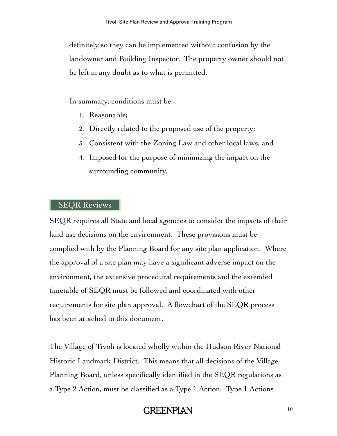definitely so they can be implemented without confusion by the landowner and Building Inspector. The property owner should not be left in any doubt as to what is permitted.

In summary, conditions must be:

- 1. Reasonable;
- 2. Directly related to the proposed use of the property;
- 3. Consistent with the Zoning Law and other local laws; and
- 4. Imposed for the purpose of minimizing the impact on the surrounding community.

# SEQR Reviews

SEQR requires all State and local agencies to consider the impacts of their land use decisions on the environment. These provisions must be complied with by the Planning Board for any site plan application. Where the approval of a site plan may have a significant adverse impact on the environment, the extensive procedural requirements and the extended timetable of SEQR must be followed and coordinated with other requirements for site plan approval. A flowchart of the SEQR process has been attached to this document.

The Village of Tivoli is located wholly within the Hudson River National Historic Landmark District. This means that all decisions of the Village Planning Board, unless specifically identified in the SEQR regulations as a Type 2 Action, must be classified as a Type 1 Action. Type 1 Actions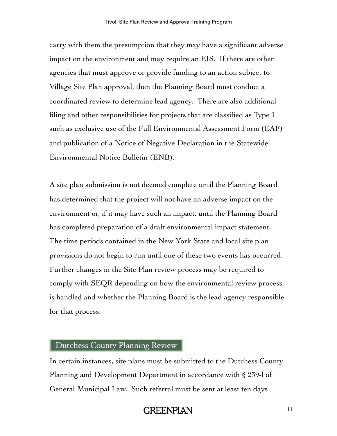carry with them the presumption that they may have a significant adverse impact on the environment and may require an EIS. If there are other agencies that must approve or provide funding to an action subject to Village Site Plan approval, then the Planning Board must conduct a coordinated review to determine lead agency. There are also additional filing and other responsibilities for projects that are classified as Type 1 such as exclusive use of the Full Environmental Assessment Form (EAF) and publication of a Notice of Negative Declaration in the Statewide Environmental Notice Bulletin (ENB).

A site plan submission is not deemed complete until the Planning Board has determined that the project will not have an adverse impact on the environment or, if it may have such an impact, until the Planning Board has completed preparation of a draft environmental impact statement. The time periods contained in the New York State and local site plan provisions do not begin to run until one of these two events has occurred. Further changes in the Site Plan review process may be required to comply with SEQR depending on how the environmental review process is handled and whether the Planning Board is the lead agency responsible for that process.

#### Dutchess County Planning Review

In certain instances, site plans must be submitted to the Dutchess County Planning and Development Department in accordance with § 239-l of General Municipal Law. Such referral must be sent at least ten days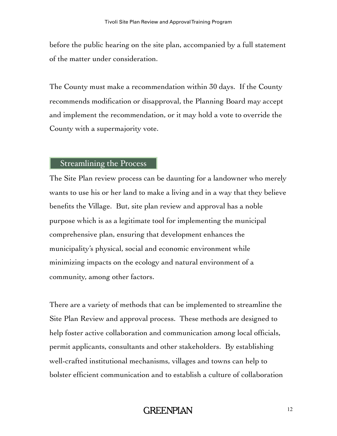before the public hearing on the site plan, accompanied by a full statement of the matter under consideration.

The County must make a recommendation within 30 days. If the County recommends modification or disapproval, the Planning Board may accept and implement the recommendation, or it may hold a vote to override the County with a supermajority vote.

#### Streamlining the Process

The Site Plan review process can be daunting for a landowner who merely wants to use his or her land to make a living and in a way that they believe benefits the Village. But, site plan review and approval has a noble purpose which is as a legitimate tool for implementing the municipal comprehensive plan, ensuring that development enhances the municipality's physical, social and economic environment while minimizing impacts on the ecology and natural environment of a community, among other factors.

There are a variety of methods that can be implemented to streamline the Site Plan Review and approval process. These methods are designed to help foster active collaboration and communication among local officials, permit applicants, consultants and other stakeholders. By establishing well-crafted institutional mechanisms, villages and towns can help to bolster efficient communication and to establish a culture of collaboration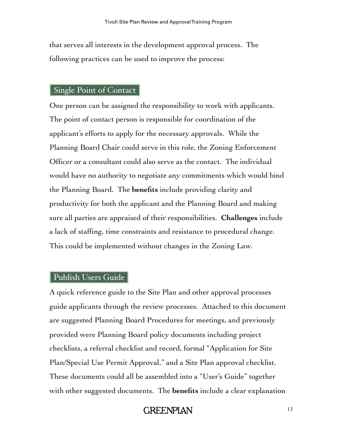that serves all interests in the development approval process. The following practices can be used to improve the process:

# Single Point of Contact

One person can be assigned the responsibility to work with applicants. The point of contact person is responsible for coordination of the applicant's efforts to apply for the necessary approvals. While the Planning Board Chair could serve in this role, the Zoning Enforcement Officer or a consultant could also serve as the contact. The individual would have no authority to negotiate any commitments which would bind the Planning Board. The **benefits** include providing clarity and productivity for both the applicant and the Planning Board and making sure all parties are appraised of their responsibilities. **Challenges** include a lack of staffing, time constraints and resistance to procedural change. This could be implemented without changes in the Zoning Law.

#### Publish Users Guide

A quick reference guide to the Site Plan and other approval processes guide applicants through the review processes. Attached to this document are suggested Planning Board Procedures for meetings, and previously provided were Planning Board policy documents including project checklists, a referral checklist and record, formal "Application for Site Plan/Special Use Permit Approval," and a Site Plan approval checklist. These documents could all be assembled into a "User's Guide" together with other suggested documents. The **benefits** include a clear explanation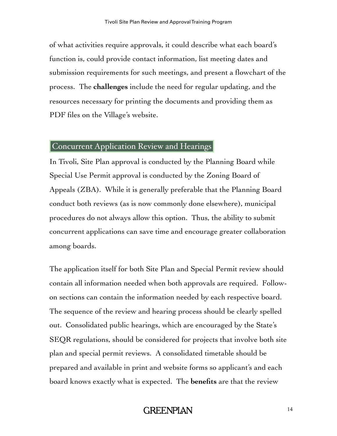of what activities require approvals, it could describe what each board's function is, could provide contact information, list meeting dates and submission requirements for such meetings, and present a flowchart of the process. The **challenges** include the need for regular updating, and the resources necessary for printing the documents and providing them as PDF files on the Village's website.

# Concurrent Application Review and Hearings

In Tivoli, Site Plan approval is conducted by the Planning Board while Special Use Permit approval is conducted by the Zoning Board of Appeals (ZBA). While it is generally preferable that the Planning Board conduct both reviews (as is now commonly done elsewhere), municipal procedures do not always allow this option. Thus, the ability to submit concurrent applications can save time and encourage greater collaboration among boards.

The application itself for both Site Plan and Special Permit review should contain all information needed when both approvals are required. Followon sections can contain the information needed by each respective board. The sequence of the review and hearing process should be clearly spelled out. Consolidated public hearings, which are encouraged by the State's SEQR regulations, should be considered for projects that involve both site plan and special permit reviews. A consolidated timetable should be prepared and available in print and website forms so applicant's and each board knows exactly what is expected. The **benefits** are that the review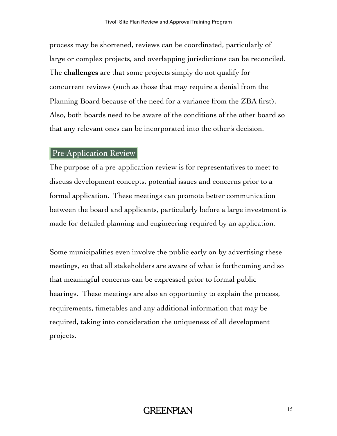process may be shortened, reviews can be coordinated, particularly of large or complex projects, and overlapping jurisdictions can be reconciled. The **challenges** are that some projects simply do not qualify for concurrent reviews (such as those that may require a denial from the Planning Board because of the need for a variance from the ZBA first). Also, both boards need to be aware of the conditions of the other board so that any relevant ones can be incorporated into the other's decision.

# Pre-Application Review

The purpose of a pre-application review is for representatives to meet to discuss development concepts, potential issues and concerns prior to a formal application. These meetings can promote better communication between the board and applicants, particularly before a large investment is made for detailed planning and engineering required by an application.

Some municipalities even involve the public early on by advertising these meetings, so that all stakeholders are aware of what is forthcoming and so that meaningful concerns can be expressed prior to formal public hearings. These meetings are also an opportunity to explain the process, requirements, timetables and any additional information that may be required, taking into consideration the uniqueness of all development projects.